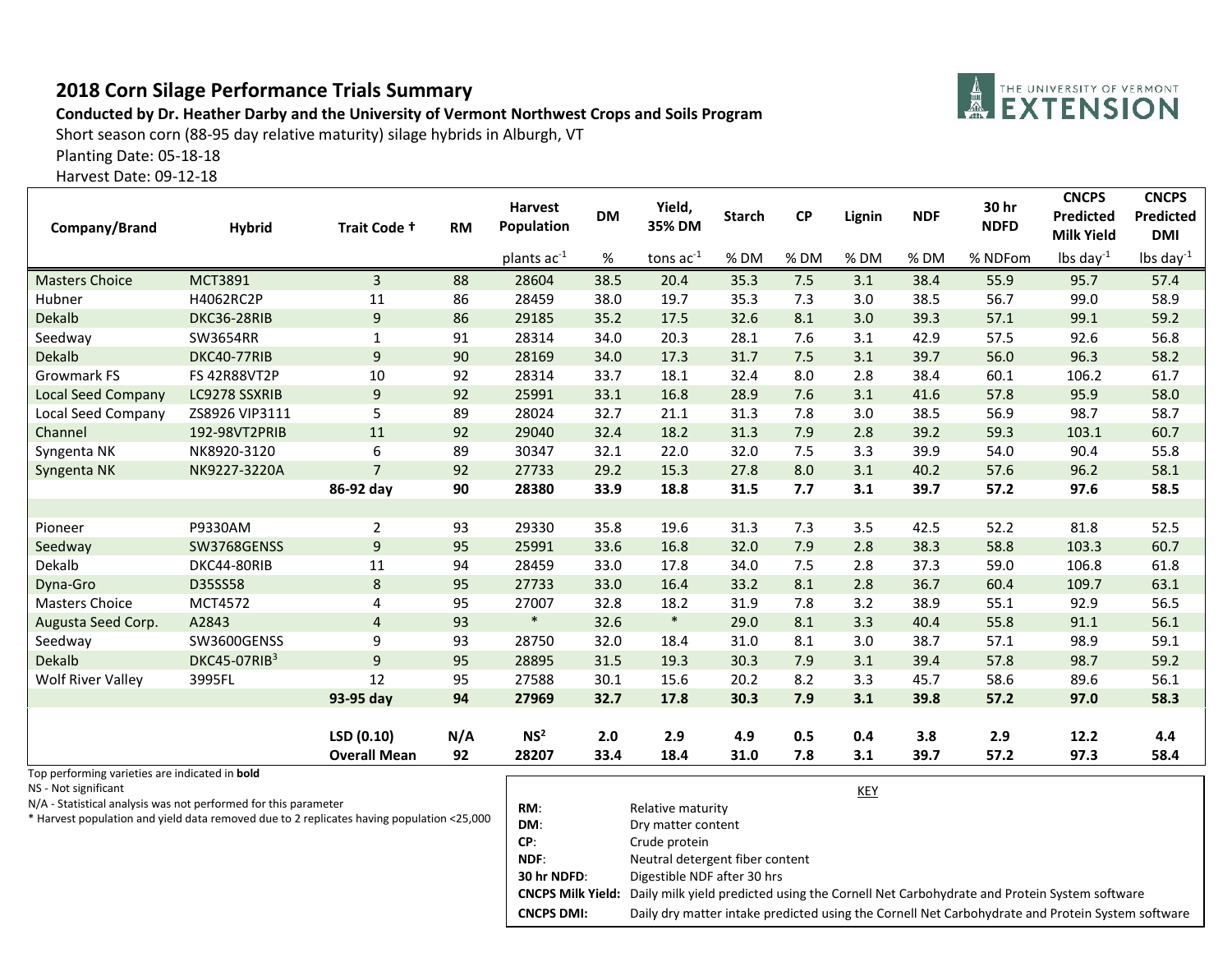## **2018 Corn Silage Performance Trials Summary**

## **Conducted by Dr. Heather Darby and the University of Vermont Northwest Crops and Soils Program**

**A THE UNIVERSITY OF VERMONT** 

Short season corn (88-95 day relative maturity) silage hybrids in Alburgh, VT

Planting Date: 05-18-18

Harvest Date: 09-12-18

| Company/Brand                                         | <b>Hybrid</b>       | Trait Code +        | <b>RM</b> | <b>Harvest</b><br>Population | <b>DM</b> | Yield,<br>35% DM | <b>Starch</b> | <b>CP</b> | Lignin | <b>NDF</b> | 30 hr<br><b>NDFD</b> | <b>CNCPS</b><br>Predicted<br><b>Milk Yield</b> | <b>CNCPS</b><br><b>Predicted</b><br><b>DMI</b> |
|-------------------------------------------------------|---------------------|---------------------|-----------|------------------------------|-----------|------------------|---------------|-----------|--------|------------|----------------------|------------------------------------------------|------------------------------------------------|
|                                                       |                     |                     |           | plants ac <sup>-1</sup>      | %         | tons $ac^{-1}$   | % DM          | %DM       | % DM   | %DM        | % NDFom              | lbs day $^{-1}$                                | lbs day $^{-1}$                                |
| <b>Masters Choice</b>                                 | <b>MCT3891</b>      | 3                   | 88        | 28604                        | 38.5      | 20.4             | 35.3          | 7.5       | 3.1    | 38.4       | 55.9                 | 95.7                                           | 57.4                                           |
| Hubner                                                | H4062RC2P           | 11                  | 86        | 28459                        | 38.0      | 19.7             | 35.3          | 7.3       | 3.0    | 38.5       | 56.7                 | 99.0                                           | 58.9                                           |
| <b>Dekalb</b>                                         | DKC36-28RIB         | 9                   | 86        | 29185                        | 35.2      | 17.5             | 32.6          | 8.1       | 3.0    | 39.3       | 57.1                 | 99.1                                           | 59.2                                           |
| Seedway                                               | SW3654RR            | $\mathbf{1}$        | 91        | 28314                        | 34.0      | 20.3             | 28.1          | 7.6       | 3.1    | 42.9       | 57.5                 | 92.6                                           | 56.8                                           |
| <b>Dekalb</b>                                         | DKC40-77RIB         | 9                   | 90        | 28169                        | 34.0      | 17.3             | 31.7          | 7.5       | 3.1    | 39.7       | 56.0                 | 96.3                                           | 58.2                                           |
| <b>Growmark FS</b>                                    | <b>FS 42R88VT2P</b> | 10                  | 92        | 28314                        | 33.7      | 18.1             | 32.4          | 8.0       | 2.8    | 38.4       | 60.1                 | 106.2                                          | 61.7                                           |
| <b>Local Seed Company</b>                             | LC9278 SSXRIB       | 9                   | 92        | 25991                        | 33.1      | 16.8             | 28.9          | 7.6       | 3.1    | 41.6       | 57.8                 | 95.9                                           | 58.0                                           |
| Local Seed Company                                    | ZS8926 VIP3111      | 5                   | 89        | 28024                        | 32.7      | 21.1             | 31.3          | 7.8       | 3.0    | 38.5       | 56.9                 | 98.7                                           | 58.7                                           |
| Channel                                               | 192-98VT2PRIB       | 11                  | 92        | 29040                        | 32.4      | 18.2             | 31.3          | 7.9       | 2.8    | 39.2       | 59.3                 | 103.1                                          | 60.7                                           |
| Syngenta NK                                           | NK8920-3120         | 6                   | 89        | 30347                        | 32.1      | 22.0             | 32.0          | 7.5       | 3.3    | 39.9       | 54.0                 | 90.4                                           | 55.8                                           |
| Syngenta NK                                           | NK9227-3220A        | $\overline{7}$      | 92        | 27733                        | 29.2      | 15.3             | 27.8          | 8.0       | 3.1    | 40.2       | 57.6                 | 96.2                                           | 58.1                                           |
|                                                       |                     | 86-92 day           | 90        | 28380                        | 33.9      | 18.8             | 31.5          | 7.7       | 3.1    | 39.7       | 57.2                 | 97.6                                           | 58.5                                           |
|                                                       |                     |                     |           |                              |           |                  |               |           |        |            |                      |                                                |                                                |
| Pioneer                                               | P9330AM             | $\overline{2}$      | 93        | 29330                        | 35.8      | 19.6             | 31.3          | 7.3       | 3.5    | 42.5       | 52.2                 | 81.8                                           | 52.5                                           |
| Seedway                                               | SW3768GENSS         | 9                   | 95        | 25991                        | 33.6      | 16.8             | 32.0          | 7.9       | 2.8    | 38.3       | 58.8                 | 103.3                                          | 60.7                                           |
| Dekalb                                                | DKC44-80RIB         | 11                  | 94        | 28459                        | 33.0      | 17.8             | 34.0          | 7.5       | 2.8    | 37.3       | 59.0                 | 106.8                                          | 61.8                                           |
| Dyna-Gro                                              | D35SS58             | $\bf 8$             | 95        | 27733                        | 33.0      | 16.4             | 33.2          | 8.1       | 2.8    | 36.7       | 60.4                 | 109.7                                          | 63.1                                           |
| <b>Masters Choice</b>                                 | <b>MCT4572</b>      | 4                   | 95        | 27007                        | 32.8      | 18.2             | 31.9          | 7.8       | 3.2    | 38.9       | 55.1                 | 92.9                                           | 56.5                                           |
| Augusta Seed Corp.                                    | A2843               | 4                   | 93        | $\ast$                       | 32.6      | $\ast$           | 29.0          | 8.1       | 3.3    | 40.4       | 55.8                 | 91.1                                           | 56.1                                           |
| Seedway                                               | SW3600GENSS         | 9                   | 93        | 28750                        | 32.0      | 18.4             | 31.0          | 8.1       | 3.0    | 38.7       | 57.1                 | 98.9                                           | 59.1                                           |
| <b>Dekalb</b>                                         | DKC45-07RIB3        | 9                   | 95        | 28895                        | 31.5      | 19.3             | 30.3          | 7.9       | 3.1    | 39.4       | 57.8                 | 98.7                                           | 59.2                                           |
| <b>Wolf River Valley</b>                              | 3995FL              | 12                  | 95        | 27588                        | 30.1      | 15.6             | 20.2          | 8.2       | 3.3    | 45.7       | 58.6                 | 89.6                                           | 56.1                                           |
|                                                       |                     | 93-95 day           | 94        | 27969                        | 32.7      | 17.8             | 30.3          | 7.9       | 3.1    | 39.8       | 57.2                 | 97.0                                           | 58.3                                           |
|                                                       |                     |                     |           |                              |           |                  |               |           |        |            |                      |                                                |                                                |
|                                                       |                     | LSD(0.10)           | N/A       | NS <sup>2</sup>              | 2.0       | 2.9              | 4.9           | 0.5       | 0.4    | 3.8        | 2.9                  | 12.2                                           | 4.4                                            |
| Top performing varieties are indicated in <b>hold</b> |                     | <b>Overall Mean</b> | 92        | 28207                        | 33.4      | 18.4             | 31.0          | 7.8       | 3.1    | 39.7       | 57.2                 | 97.3                                           | 58.4                                           |

Top performing varieties are indicated in **bold**

NS - Not significant

N/A - Statistical analysis was not performed for this parameter

\* Harvest population and yield data removed due to 2 replicates having population <25,000

|                   | KEY                                                                                                         |  |  |  |
|-------------------|-------------------------------------------------------------------------------------------------------------|--|--|--|
| RM:               | Relative maturity                                                                                           |  |  |  |
| DM:               | Dry matter content                                                                                          |  |  |  |
| CP:               | Crude protein                                                                                               |  |  |  |
| NDF:              | Neutral detergent fiber content                                                                             |  |  |  |
| 30 hr NDFD:       | Digestible NDF after 30 hrs                                                                                 |  |  |  |
|                   | CNCPS Milk Yield: Daily milk yield predicted using the Cornell Net Carbohydrate and Protein System software |  |  |  |
| <b>CNCPS DMI:</b> | Daily dry matter intake predicted using the Cornell Net Carbohydrate and Protein System software            |  |  |  |
|                   |                                                                                                             |  |  |  |